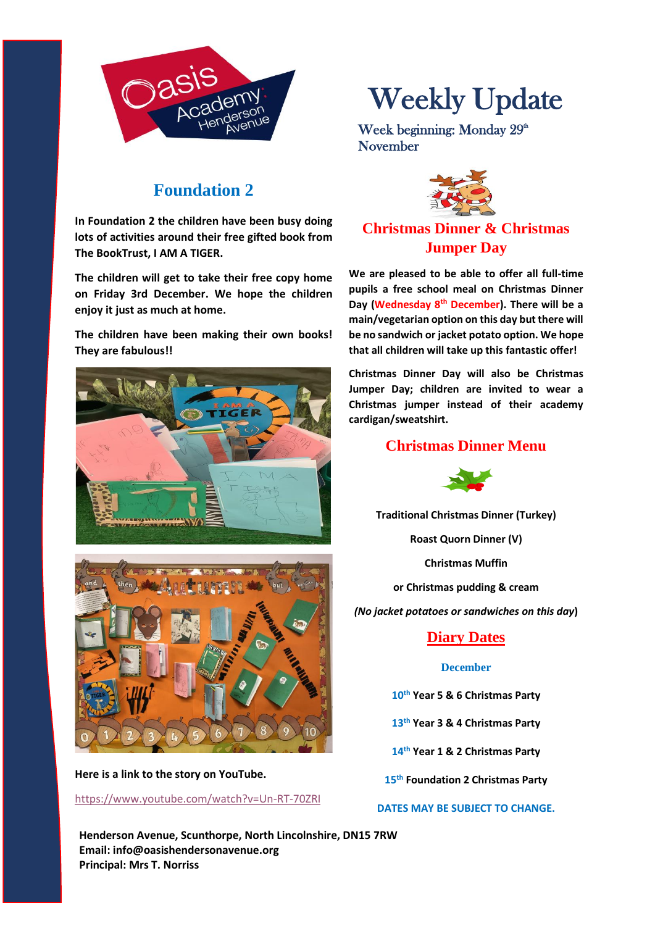

## **Foundation 2**

**In Foundation 2 the children have been busy doing lots of activities around their free gifted book from The BookTrust, I AM A TIGER.**

**The children will get to take their free copy home on Friday 3rd December. We hope the children enjoy it just as much at home.**

**The children have been making their own books! They are fabulous!!**





**Here is a link to the story on YouTube.** 

#### <https://www.youtube.com/watch?v=Un-RT-70ZRI>

**Henderson Avenue, Scunthorpe, North Lincolnshire, DN15 7RW Email: info@oasishendersonavenue.org Principal: Mrs T. Norriss**

# Weekly Update

Week beginning: Monday 29<sup>th</sup> November



### **Christmas Dinner & Christmas Jumper Day**

**We are pleased to be able to offer all full-time pupils a free school meal on Christmas Dinner Day (Wednesday 8th December). There will be a main/vegetarian option on this day but there will be no sandwich or jacket potato option. We hope that all children will take up this fantastic offer!**

**Christmas Dinner Day will also be Christmas Jumper Day; children are invited to wear a Christmas jumper instead of their academy cardigan/sweatshirt.**

#### **Christmas Dinner Menu**



**Traditional Christmas Dinner (Turkey)**

**Roast Quorn Dinner (V)**

**Christmas Muffin**

**or Christmas pudding & cream**

*(No jacket potatoes or sandwiches on this day***)**

#### **Diary Dates**

#### **December**

**10th Year 5 & 6 Christmas Party**

**13th Year 3 & 4 Christmas Party**

**14th Year 1 & 2 Christmas Party**

**15th Foundation 2 Christmas Party**

#### **DATES MAY BE SUBJECT TO CHANGE.**